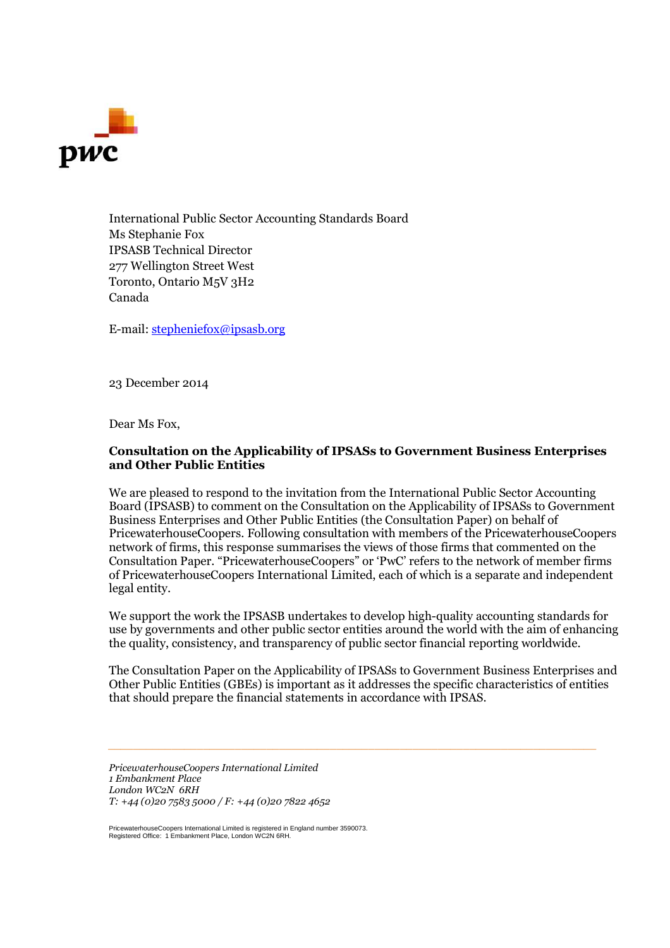

International Public Sector Accounting Standards Board Ms Stephanie Fox IPSASB Technical Director 277 Wellington Street West Toronto, Ontario M5V 3H2 Canada

E-mail: stepheniefox@ipsasb.org

23 December 2014

Dear Ms Fox,

## **Consultation on the Applicability of IPSASs to Government Business Enterprises and Other Public Entities**

We are pleased to respond to the invitation from the International Public Sector Accounting Board (IPSASB) to comment on the Consultation on the Applicability of IPSASs to Government Business Enterprises and Other Public Entities (the Consultation Paper) on behalf of PricewaterhouseCoopers. Following consultation with members of the PricewaterhouseCoopers network of firms, this response summarises the views of those firms that commented on the Consultation Paper. "PricewaterhouseCoopers" or 'PwC' refers to the network of member firms of PricewaterhouseCoopers International Limited, each of which is a separate and independent legal entity.

We support the work the IPSASB undertakes to develop high-quality accounting standards for use by governments and other public sector entities around the world with the aim of enhancing the quality, consistency, and transparency of public sector financial reporting worldwide.

The Consultation Paper on the Applicability of IPSASs to Government Business Enterprises and Other Public Entities (GBEs) is important as it addresses the specific characteristics of entities that should prepare the financial statements in accordance with IPSAS.

*\_\_\_\_\_\_\_\_\_\_\_\_\_\_\_\_\_\_\_\_\_\_\_\_\_\_\_\_\_\_\_\_\_\_\_\_\_\_\_\_\_\_\_\_\_\_\_\_\_\_\_\_\_\_\_\_\_\_\_\_\_\_\_\_\_\_\_\_\_\_\_\_\_\_\_\_\_*

*PricewaterhouseCoopers International Limited 1 Embankment Place London WC2N 6RH T: +44 (0)20 7583 5000 / F: +44 (0)20 7822 4652*

PricewaterhouseCoopers International Limited is registered in England number 3590073. Registered Office: 1 Embankment Place, London WC2N 6RH.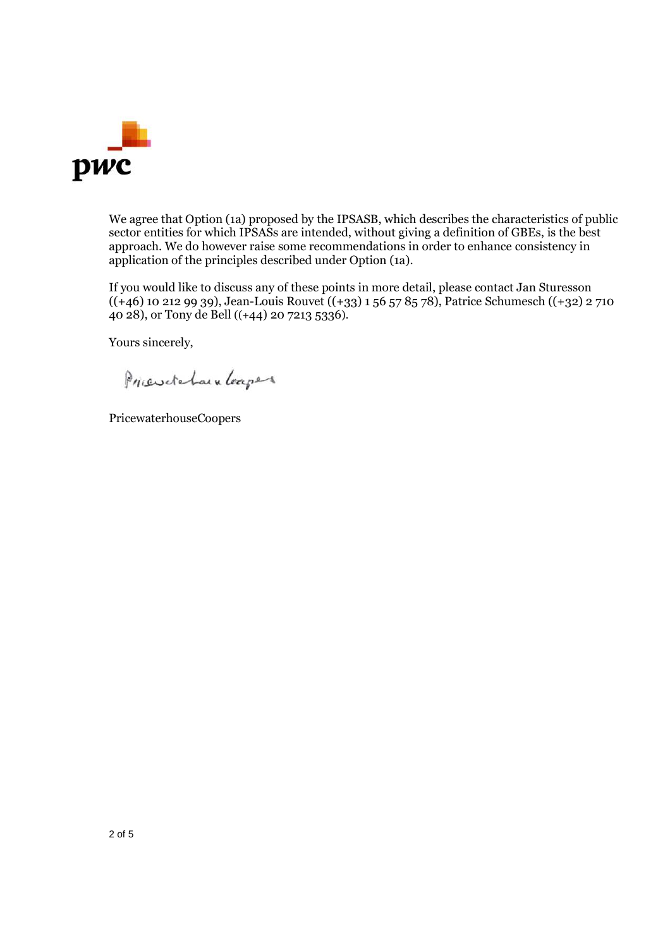

We agree that Option (1a) proposed by the IPSASB, which describes the characteristics of public sector entities for which IPSASs are intended, without giving a definition of GBEs, is the best approach. We do however raise some recommendations in order to enhance consistency in application of the principles described under Option (1a).

If you would like to discuss any of these points in more detail, please contact Jan Sturesson  $((+46)$  10 212 99 39), Jean-Louis Rouvet  $((+33)$  1 56 57 85 78), Patrice Schumesch  $((+32)$  2 710 40 28), or Tony de Bell ((+44) 20 7213 5336).

Yours sincerely,

Priendehaun Leapers

PricewaterhouseCoopers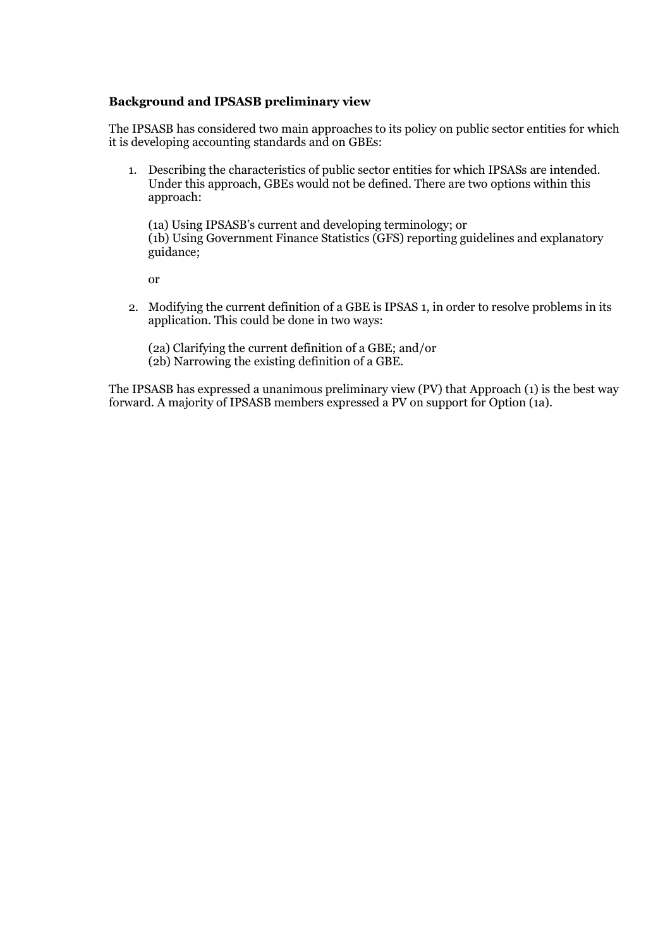## **Background and IPSASB preliminary view**

The IPSASB has considered two main approaches to its policy on public sector entities for which it is developing accounting standards and on GBEs:

1. Describing the characteristics of public sector entities for which IPSASs are intended. Under this approach, GBEs would not be defined. There are two options within this approach:

(1a) Using IPSASB's current and developing terminology; or (1b) Using Government Finance Statistics (GFS) reporting guidelines and explanatory guidance;

or

2. Modifying the current definition of a GBE is IPSAS 1, in order to resolve problems in its application. This could be done in two ways:

(2a) Clarifying the current definition of a GBE; and/or (2b) Narrowing the existing definition of a GBE.

The IPSASB has expressed a unanimous preliminary view (PV) that Approach (1) is the best way forward. A majority of IPSASB members expressed a PV on support for Option (1a).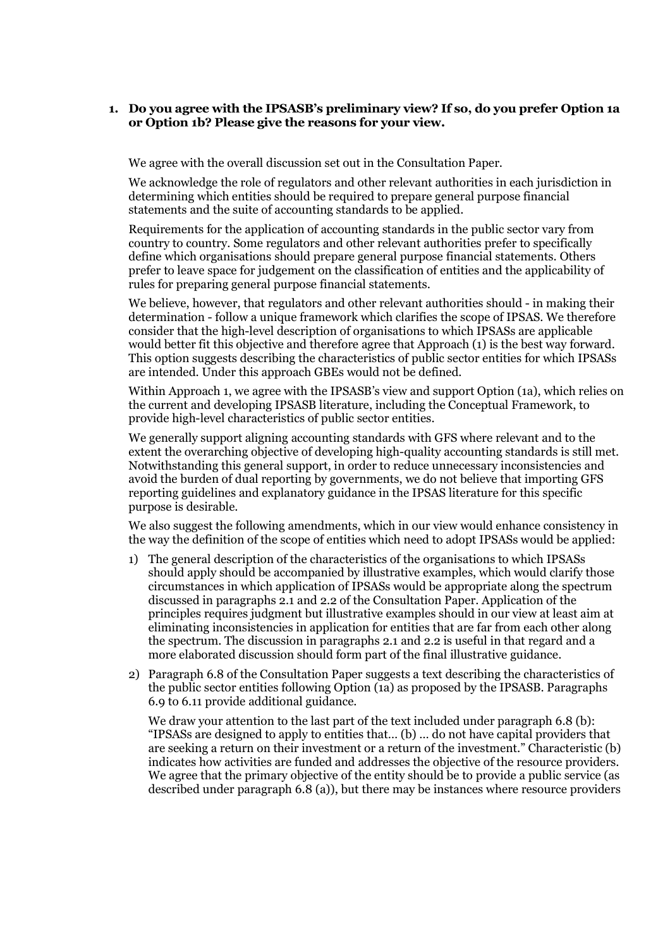## **1. Do you agree with the IPSASB's preliminary view? If so, do you prefer Option 1a or Option 1b? Please give the reasons for your view.**

We agree with the overall discussion set out in the Consultation Paper.

We acknowledge the role of regulators and other relevant authorities in each jurisdiction in determining which entities should be required to prepare general purpose financial statements and the suite of accounting standards to be applied.

Requirements for the application of accounting standards in the public sector vary from country to country. Some regulators and other relevant authorities prefer to specifically define which organisations should prepare general purpose financial statements. Others prefer to leave space for judgement on the classification of entities and the applicability of rules for preparing general purpose financial statements.

We believe, however, that regulators and other relevant authorities should - in making their determination - follow a unique framework which clarifies the scope of IPSAS. We therefore consider that the high-level description of organisations to which IPSASs are applicable would better fit this objective and therefore agree that Approach (1) is the best way forward. This option suggests describing the characteristics of public sector entities for which IPSASs are intended. Under this approach GBEs would not be defined.

Within Approach 1, we agree with the IPSASB's view and support Option (1a), which relies on the current and developing IPSASB literature, including the Conceptual Framework, to provide high-level characteristics of public sector entities.

We generally support aligning accounting standards with GFS where relevant and to the extent the overarching objective of developing high-quality accounting standards is still met. Notwithstanding this general support, in order to reduce unnecessary inconsistencies and avoid the burden of dual reporting by governments, we do not believe that importing GFS reporting guidelines and explanatory guidance in the IPSAS literature for this specific purpose is desirable.

We also suggest the following amendments, which in our view would enhance consistency in the way the definition of the scope of entities which need to adopt IPSASs would be applied:

- 1) The general description of the characteristics of the organisations to which IPSASs should apply should be accompanied by illustrative examples, which would clarify those circumstances in which application of IPSASs would be appropriate along the spectrum discussed in paragraphs 2.1 and 2.2 of the Consultation Paper. Application of the principles requires judgment but illustrative examples should in our view at least aim at eliminating inconsistencies in application for entities that are far from each other along the spectrum. The discussion in paragraphs 2.1 and 2.2 is useful in that regard and a more elaborated discussion should form part of the final illustrative guidance.
- 2) Paragraph 6.8 of the Consultation Paper suggests a text describing the characteristics of the public sector entities following Option (1a) as proposed by the IPSASB. Paragraphs 6.9 to 6.11 provide additional guidance.

We draw your attention to the last part of the text included under paragraph 6.8 (b): "IPSASs are designed to apply to entities that… (b) … do not have capital providers that are seeking a return on their investment or a return of the investment." Characteristic (b) indicates how activities are funded and addresses the objective of the resource providers. We agree that the primary objective of the entity should be to provide a public service (as described under paragraph 6.8 (a)), but there may be instances where resource providers